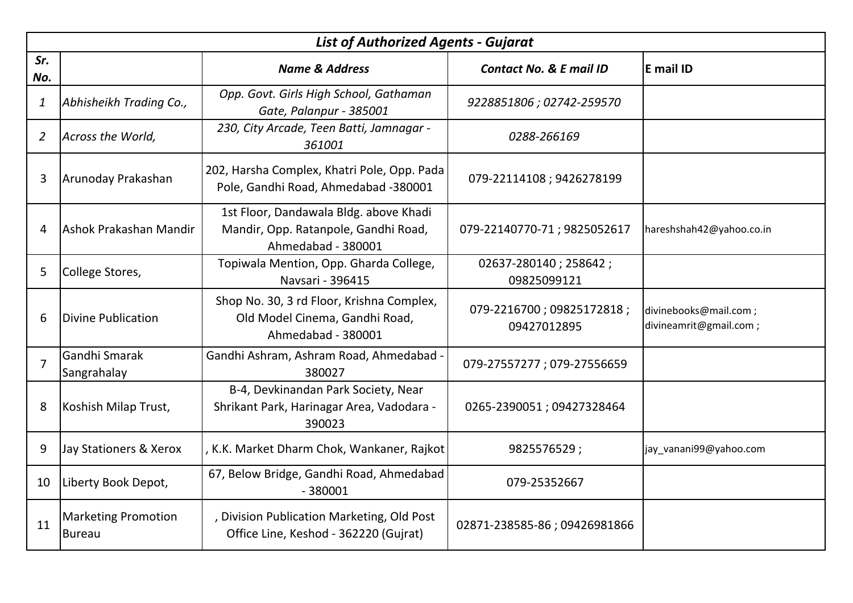|                           | <b>List of Authorized Agents - Gujarat</b> |                                                                                                      |                                          |                                                 |  |
|---------------------------|--------------------------------------------|------------------------------------------------------------------------------------------------------|------------------------------------------|-------------------------------------------------|--|
| Sr.<br>No.                |                                            | <b>Name &amp; Address</b>                                                                            | <b>Contact No. &amp; E mail ID</b>       | E mail ID                                       |  |
| $\boldsymbol{\mathit{1}}$ | Abhisheikh Trading Co.,                    | Opp. Govt. Girls High School, Gathaman<br>Gate, Palanpur - 385001                                    | 9228851806; 02742-259570                 |                                                 |  |
| $\overline{2}$            | Across the World,                          | 230, City Arcade, Teen Batti, Jamnagar -<br>361001                                                   | 0288-266169                              |                                                 |  |
| 3                         | Arunoday Prakashan                         | 202, Harsha Complex, Khatri Pole, Opp. Pada<br>Pole, Gandhi Road, Ahmedabad -380001                  | 079-22114108; 9426278199                 |                                                 |  |
| 4                         | Ashok Prakashan Mandir                     | 1st Floor, Dandawala Bldg. above Khadi<br>Mandir, Opp. Ratanpole, Gandhi Road,<br>Ahmedabad - 380001 | 079-22140770-71; 9825052617              | hareshshah42@yahoo.co.in                        |  |
| 5                         | College Stores,                            | Topiwala Mention, Opp. Gharda College,<br>Navsari - 396415                                           | 02637-280140; 258642;<br>09825099121     |                                                 |  |
| 6                         | <b>Divine Publication</b>                  | Shop No. 30, 3 rd Floor, Krishna Complex,<br>Old Model Cinema, Gandhi Road,<br>Ahmedabad - 380001    | 079-2216700; 09825172818;<br>09427012895 | divinebooks@mail.com;<br>divineamrit@gmail.com; |  |
| $\overline{7}$            | Gandhi Smarak<br>Sangrahalay               | Gandhi Ashram, Ashram Road, Ahmedabad -<br>380027                                                    | 079-27557277; 079-27556659               |                                                 |  |
| 8                         | Koshish Milap Trust,                       | B-4, Devkinandan Park Society, Near<br>Shrikant Park, Harinagar Area, Vadodara -<br>390023           | 0265-2390051; 09427328464                |                                                 |  |
| 9                         | Jay Stationers & Xerox                     | , K.K. Market Dharm Chok, Wankaner, Rajkot                                                           | 9825576529;                              | jay_vanani99@yahoo.com                          |  |
| 10                        | Liberty Book Depot,                        | 67, Below Bridge, Gandhi Road, Ahmedabad<br>$-380001$                                                | 079-25352667                             |                                                 |  |
| 11                        | Marketing Promotion<br><b>Bureau</b>       | , Division Publication Marketing, Old Post<br>Office Line, Keshod - 362220 (Gujrat)                  | 02871-238585-86; 09426981866             |                                                 |  |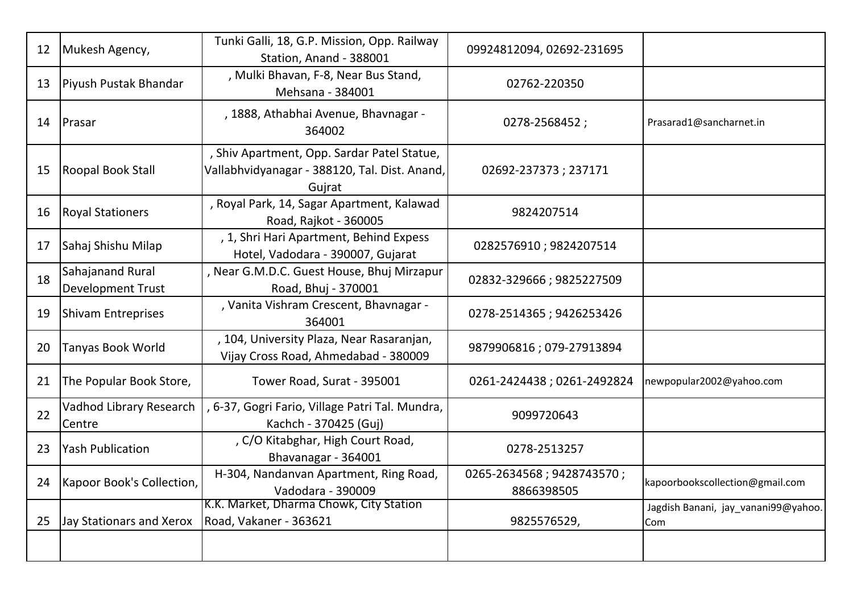| 12 | Mukesh Agency,                                      | Tunki Galli, 18, G.P. Mission, Opp. Railway<br>Station, Anand - 388001                                 | 09924812094, 02692-231695               |                                            |
|----|-----------------------------------------------------|--------------------------------------------------------------------------------------------------------|-----------------------------------------|--------------------------------------------|
| 13 | Piyush Pustak Bhandar                               | , Mulki Bhavan, F-8, Near Bus Stand,<br>Mehsana - 384001                                               | 02762-220350                            |                                            |
| 14 | Prasar                                              | , 1888, Athabhai Avenue, Bhavnagar -<br>364002                                                         | 0278-2568452;                           | Prasarad1@sancharnet.in                    |
| 15 | Roopal Book Stall                                   | , Shiv Apartment, Opp. Sardar Patel Statue,<br>Vallabhvidyanagar - 388120, Tal. Dist. Anand,<br>Gujrat | 02692-237373; 237171                    |                                            |
| 16 | <b>Royal Stationers</b>                             | , Royal Park, 14, Sagar Apartment, Kalawad<br>Road, Rajkot - 360005                                    | 9824207514                              |                                            |
| 17 | Sahaj Shishu Milap                                  | , 1, Shri Hari Apartment, Behind Expess<br>Hotel, Vadodara - 390007, Gujarat                           | 0282576910; 9824207514                  |                                            |
| 18 | <b>Sahajanand Rural</b><br><b>Development Trust</b> | , Near G.M.D.C. Guest House, Bhuj Mirzapur<br>Road, Bhuj - 370001                                      | 02832-329666; 9825227509                |                                            |
| 19 | <b>Shivam Entreprises</b>                           | , Vanita Vishram Crescent, Bhavnagar -<br>364001                                                       | 0278-2514365; 9426253426                |                                            |
| 20 | <b>Tanyas Book World</b>                            | , 104, University Plaza, Near Rasaranjan,<br>Vijay Cross Road, Ahmedabad - 380009                      | 9879906816; 079-27913894                |                                            |
| 21 | The Popular Book Store,                             | Tower Road, Surat - 395001                                                                             | 0261-2424438; 0261-2492824              | newpopular2002@yahoo.com                   |
| 22 | Vadhod Library Research<br>Centre                   | , 6-37, Gogri Fario, Village Patri Tal. Mundra,<br>Kachch - 370425 (Guj)                               | 9099720643                              |                                            |
| 23 | <b>Yash Publication</b>                             | , C/O Kitabghar, High Court Road,<br>Bhavanagar - 364001                                               | 0278-2513257                            |                                            |
| 24 | Kapoor Book's Collection,                           | H-304, Nandanvan Apartment, Ring Road,<br>Vadodara - 390009                                            | 0265-2634568; 9428743570;<br>8866398505 | kapoorbookscollection@gmail.com            |
| 25 | Jay Stationars and Xerox                            | K.K. Market, Dharma Chowk, City Station<br>Road, Vakaner - 363621                                      | 9825576529,                             | Jagdish Banani, jay_vanani99@yahoo.<br>Com |
|    |                                                     |                                                                                                        |                                         |                                            |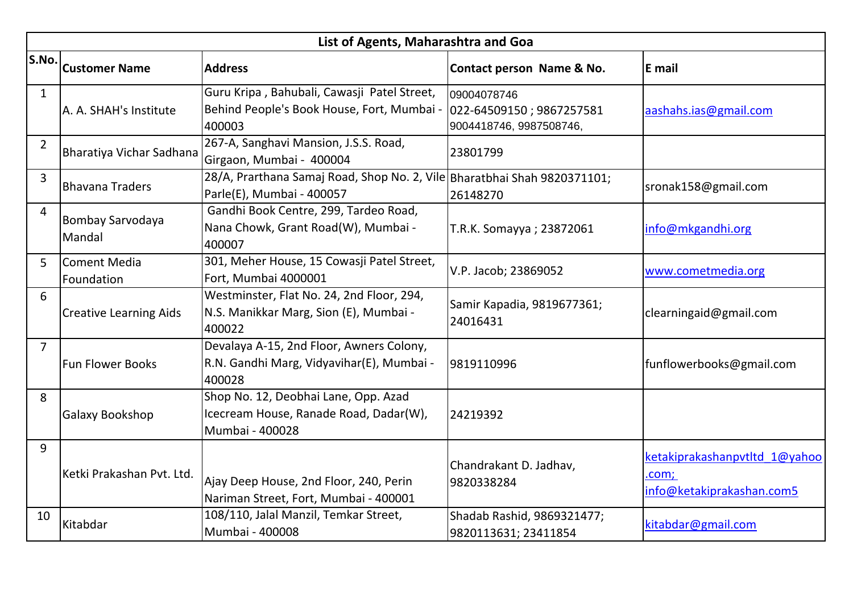|                | List of Agents, Maharashtra and Goa |                                                                                                       |                                                                    |                                                                     |  |
|----------------|-------------------------------------|-------------------------------------------------------------------------------------------------------|--------------------------------------------------------------------|---------------------------------------------------------------------|--|
| S.No.          | <b>Customer Name</b>                | <b>Address</b>                                                                                        | Contact person Name & No.                                          | E mail                                                              |  |
| $\mathbf{1}$   | A. A. SHAH's Institute              | Guru Kripa, Bahubali, Cawasji Patel Street,<br>Behind People's Book House, Fort, Mumbai -<br>400003   | 09004078746<br>022-64509150; 9867257581<br>9004418746, 9987508746, | aashahs.ias@gmail.com                                               |  |
| $\overline{2}$ | Bharatiya Vichar Sadhana            | 267-A, Sanghavi Mansion, J.S.S. Road,<br>Girgaon, Mumbai - 400004                                     | 23801799                                                           |                                                                     |  |
| 3              | <b>Bhavana Traders</b>              | 28/A, Prarthana Samaj Road, Shop No. 2, Vile Bharatbhai Shah 9820371101;<br>Parle(E), Mumbai - 400057 | 26148270                                                           | sronak158@gmail.com                                                 |  |
| 4              | Bombay Sarvodaya<br>Mandal          | Gandhi Book Centre, 299, Tardeo Road,<br>Nana Chowk, Grant Road(W), Mumbai -<br>400007                | T.R.K. Somayya; 23872061                                           | info@mkgandhi.org                                                   |  |
| 5              | lComent Media<br>Foundation         | 301, Meher House, 15 Cowasji Patel Street,<br>Fort, Mumbai 4000001                                    | V.P. Jacob; 23869052                                               | www.cometmedia.org                                                  |  |
| 6              | <b>Creative Learning Aids</b>       | Westminster, Flat No. 24, 2nd Floor, 294,<br>N.S. Manikkar Marg, Sion (E), Mumbai -<br>400022         | Samir Kapadia, 9819677361;<br>24016431                             | clearningaid@gmail.com                                              |  |
| $\overline{7}$ | <b>Fun Flower Books</b>             | Devalaya A-15, 2nd Floor, Awners Colony,<br>R.N. Gandhi Marg, Vidyavihar(E), Mumbai -<br>400028       | 9819110996                                                         | funflowerbooks@gmail.com                                            |  |
| 8              | Galaxy Bookshop                     | Shop No. 12, Deobhai Lane, Opp. Azad<br>Icecream House, Ranade Road, Dadar(W),<br>Mumbai - 400028     | 24219392                                                           |                                                                     |  |
| 9              | Ketki Prakashan Pvt. Ltd.           | Ajay Deep House, 2nd Floor, 240, Perin<br>Nariman Street, Fort, Mumbai - 400001                       | Chandrakant D. Jadhav,<br>9820338284                               | ketakiprakashanpvtltd 1@yahoo<br>.com;<br>info@ketakiprakashan.com5 |  |
| 10             | Kitabdar                            | 108/110, Jalal Manzil, Temkar Street,<br>Mumbai - 400008                                              | Shadab Rashid, 9869321477;<br>9820113631; 23411854                 | kitabdar@gmail.com                                                  |  |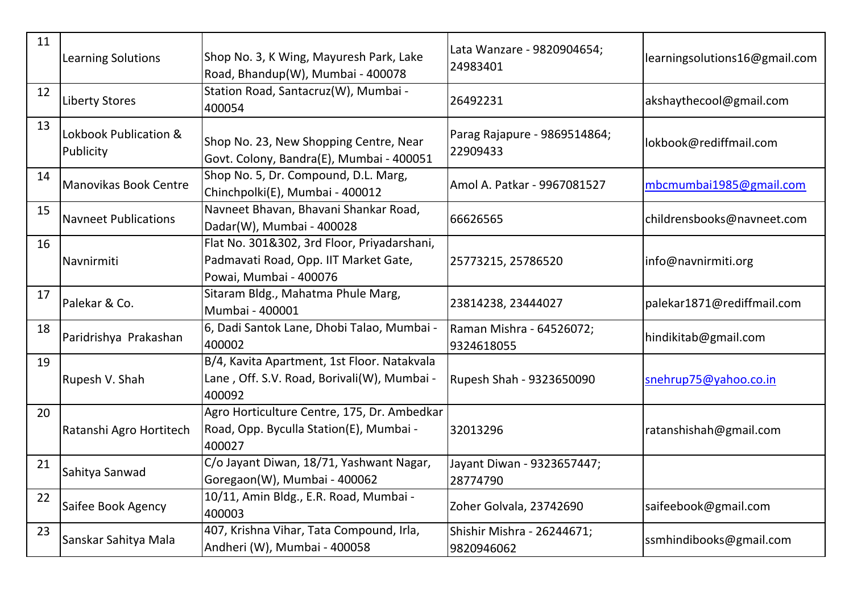| 11 | Learning Solutions                 | Shop No. 3, K Wing, Mayuresh Park, Lake<br>Road, Bhandup(W), Mumbai - 400078                                   | Lata Wanzare - 9820904654;<br>24983401   | learningsolutions16@gmail.com |
|----|------------------------------------|----------------------------------------------------------------------------------------------------------------|------------------------------------------|-------------------------------|
| 12 | <b>Liberty Stores</b>              | Station Road, Santacruz(W), Mumbai -<br>400054                                                                 | 26492231                                 | akshaythecool@gmail.com       |
| 13 | Lokbook Publication &<br>Publicity | Shop No. 23, New Shopping Centre, Near<br>Govt. Colony, Bandra(E), Mumbai - 400051                             | Parag Rajapure - 9869514864;<br>22909433 | lokbook@rediffmail.com        |
| 14 | Manovikas Book Centre              | Shop No. 5, Dr. Compound, D.L. Marg,<br>Chinchpolki(E), Mumbai - 400012                                        | Amol A. Patkar - 9967081527              | mbcmumbai1985@gmail.com       |
| 15 | <b>Navneet Publications</b>        | Navneet Bhavan, Bhavani Shankar Road,<br>Dadar(W), Mumbai - 400028                                             | 66626565                                 | childrensbooks@navneet.com    |
| 16 | Navnirmiti                         | Flat No. 301&302, 3rd Floor, Priyadarshani,<br>Padmavati Road, Opp. IIT Market Gate,<br>Powai, Mumbai - 400076 | 25773215, 25786520                       | info@navnirmiti.org           |
| 17 | Palekar & Co.                      | Sitaram Bldg., Mahatma Phule Marg,<br>Mumbai - 400001                                                          | 23814238, 23444027                       | palekar1871@rediffmail.com    |
| 18 | Paridrishya Prakashan              | 6, Dadi Santok Lane, Dhobi Talao, Mumbai -<br>400002                                                           | Raman Mishra - 64526072;<br>9324618055   | hindikitab@gmail.com          |
| 19 | Rupesh V. Shah                     | B/4, Kavita Apartment, 1st Floor. Natakvala<br>Lane, Off. S.V. Road, Borivali(W), Mumbai -<br>400092           | Rupesh Shah - 9323650090                 | snehrup75@yahoo.co.in         |
| 20 | Ratanshi Agro Hortitech            | Agro Horticulture Centre, 175, Dr. Ambedkar<br>Road, Opp. Byculla Station(E), Mumbai -<br>400027               | 32013296                                 | ratanshishah@gmail.com        |
| 21 | Sahitya Sanwad                     | C/o Jayant Diwan, 18/71, Yashwant Nagar,<br>Goregaon(W), Mumbai - 400062                                       | Jayant Diwan - 9323657447;<br>28774790   |                               |
| 22 | Saifee Book Agency                 | 10/11, Amin Bldg., E.R. Road, Mumbai -<br>400003                                                               | Zoher Golvala, 23742690                  | saifeebook@gmail.com          |
| 23 | Sanskar Sahitya Mala               | 407, Krishna Vihar, Tata Compound, Irla,<br>Andheri (W), Mumbai - 400058                                       | Shishir Mishra - 26244671;<br>9820946062 | ssmhindibooks@gmail.com       |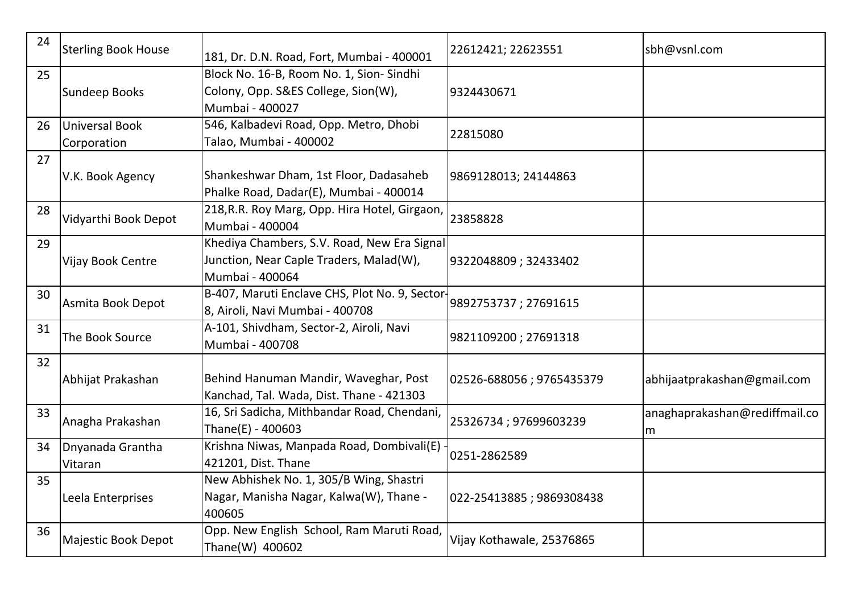| 24 | <b>Sterling Book House</b>    | 181, Dr. D.N. Road, Fort, Mumbai - 400001                                                                 | 22612421; 22623551        | sbh@vsnl.com                       |
|----|-------------------------------|-----------------------------------------------------------------------------------------------------------|---------------------------|------------------------------------|
| 25 | <b>Sundeep Books</b>          | Block No. 16-B, Room No. 1, Sion- Sindhi<br>Colony, Opp. S&ES College, Sion(W),<br>Mumbai - 400027        | 9324430671                |                                    |
| 26 | Universal Book<br>Corporation | 546, Kalbadevi Road, Opp. Metro, Dhobi<br>Talao, Mumbai - 400002                                          | 22815080                  |                                    |
| 27 | V.K. Book Agency              | Shankeshwar Dham, 1st Floor, Dadasaheb<br>Phalke Road, Dadar(E), Mumbai - 400014                          | 9869128013; 24144863      |                                    |
| 28 | Vidyarthi Book Depot          | 218, R.R. Roy Marg, Opp. Hira Hotel, Girgaon,<br>Mumbai - 400004                                          | 23858828                  |                                    |
| 29 | Vijay Book Centre             | Khediya Chambers, S.V. Road, New Era Signal<br>Junction, Near Caple Traders, Malad(W),<br>Mumbai - 400064 | 9322048809; 32433402      |                                    |
| 30 | Asmita Book Depot             | B-407, Maruti Enclave CHS, Plot No. 9, Sector-<br>8, Airoli, Navi Mumbai - 400708                         | 9892753737; 27691615      |                                    |
| 31 | The Book Source               | A-101, Shivdham, Sector-2, Airoli, Navi<br>Mumbai - 400708                                                | 9821109200; 27691318      |                                    |
| 32 | Abhijat Prakashan             | Behind Hanuman Mandir, Waveghar, Post<br>Kanchad, Tal. Wada, Dist. Thane - 421303                         | 02526-688056; 9765435379  | abhijaatprakashan@gmail.com        |
| 33 | Anagha Prakashan              | 16, Sri Sadicha, Mithbandar Road, Chendani,<br>Thane $(E)$ - 400603                                       | 25326734; 97699603239     | anaghaprakashan@rediffmail.co<br>m |
| 34 | Dnyanada Grantha<br>Vitaran   | Krishna Niwas, Manpada Road, Dombivali(E)<br>421201, Dist. Thane                                          | 0251-2862589              |                                    |
| 35 | Leela Enterprises             | New Abhishek No. 1, 305/B Wing, Shastri<br>Nagar, Manisha Nagar, Kalwa(W), Thane -<br>400605              | 022-25413885; 9869308438  |                                    |
| 36 | Majestic Book Depot           | Opp. New English School, Ram Maruti Road,<br>Thane(W) 400602                                              | Vijay Kothawale, 25376865 |                                    |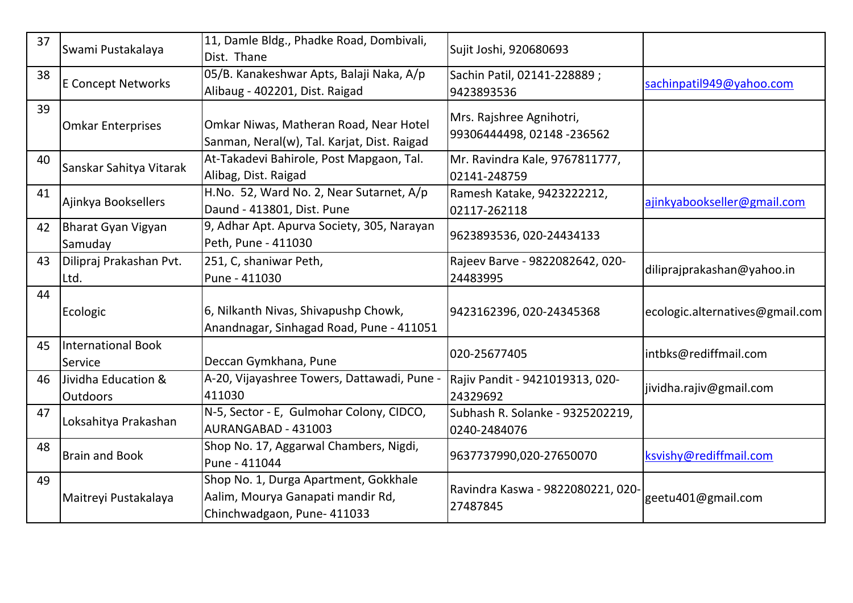| 37 | Swami Pustakalaya                      | 11, Damle Bldg., Phadke Road, Dombivali,<br>Dist. Thane                                                   | Sujit Joshi, 920680693                                 |                                 |
|----|----------------------------------------|-----------------------------------------------------------------------------------------------------------|--------------------------------------------------------|---------------------------------|
| 38 | <b>E Concept Networks</b>              | 05/B. Kanakeshwar Apts, Balaji Naka, A/p<br>Alibaug - 402201, Dist. Raigad                                | Sachin Patil, 02141-228889;<br>9423893536              | sachinpatil949@yahoo.com        |
| 39 | <b>Omkar Enterprises</b>               | Omkar Niwas, Matheran Road, Near Hotel<br>Sanman, Neral(w), Tal. Karjat, Dist. Raigad                     | Mrs. Rajshree Agnihotri,<br>99306444498, 02148 -236562 |                                 |
| 40 | Sanskar Sahitya Vitarak                | At-Takadevi Bahirole, Post Mapgaon, Tal.<br>Alibag, Dist. Raigad                                          | Mr. Ravindra Kale, 9767811777,<br>02141-248759         |                                 |
| 41 | Ajinkya Booksellers                    | H.No. 52, Ward No. 2, Near Sutarnet, A/p<br>Daund - 413801, Dist. Pune                                    | Ramesh Katake, 9423222212,<br>02117-262118             | ajinkyabookseller@gmail.com     |
| 42 | Bharat Gyan Vigyan<br>Samuday          | 9, Adhar Apt. Apurva Society, 305, Narayan<br>Peth, Pune - 411030                                         | 9623893536, 020-24434133                               |                                 |
| 43 | Dilipraj Prakashan Pvt.<br>Ltd.        | 251, C, shaniwar Peth,<br>Pune - 411030                                                                   | Rajeev Barve - 9822082642, 020-<br>24483995            | diliprajprakashan@yahoo.in      |
| 44 | Ecologic                               | 6, Nilkanth Nivas, Shivapushp Chowk,<br>Anandnagar, Sinhagad Road, Pune - 411051                          | 9423162396, 020-24345368                               | ecologic.alternatives@gmail.com |
| 45 | <b>International Book</b><br>Service   | Deccan Gymkhana, Pune                                                                                     | 020-25677405                                           | intbks@rediffmail.com           |
| 46 | Jividha Education &<br><b>Outdoors</b> | A-20, Vijayashree Towers, Dattawadi, Pune -<br>411030                                                     | Rajiv Pandit - 9421019313, 020-<br>24329692            | jividha.rajiv@gmail.com         |
| 47 | Loksahitya Prakashan                   | N-5, Sector - E, Gulmohar Colony, CIDCO,<br>AURANGABAD - 431003                                           | Subhash R. Solanke - 9325202219,<br>0240-2484076       |                                 |
| 48 | <b>Brain and Book</b>                  | Shop No. 17, Aggarwal Chambers, Nigdi,<br>Pune - 411044                                                   | 9637737990,020-27650070                                | ksvishy@rediffmail.com          |
| 49 | Maitreyi Pustakalaya                   | Shop No. 1, Durga Apartment, Gokkhale<br>Aalim, Mourya Ganapati mandir Rd,<br>Chinchwadgaon, Pune- 411033 | Ravindra Kaswa - 9822080221, 020-<br>27487845          | geetu401@gmail.com              |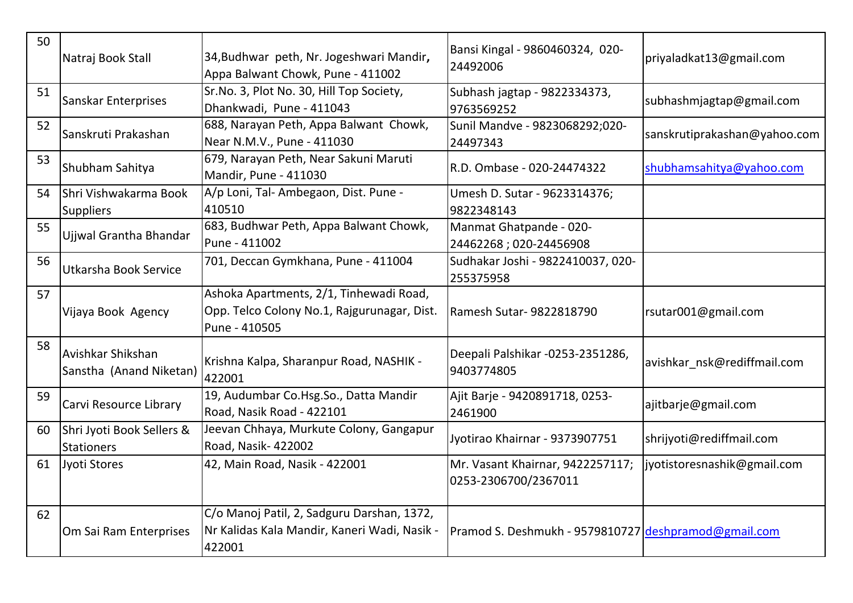| 50 | Natraj Book Stall                              | 34, Budhwar peth, Nr. Jogeshwari Mandir,<br>Appa Balwant Chowk, Pune - 411002                           | Bansi Kingal - 9860460324, 020-<br>24492006              | priyaladkat13@gmail.com      |
|----|------------------------------------------------|---------------------------------------------------------------------------------------------------------|----------------------------------------------------------|------------------------------|
| 51 | Sanskar Enterprises                            | Sr.No. 3, Plot No. 30, Hill Top Society,<br>Dhankwadi, Pune - 411043                                    | Subhash jagtap - 9822334373,<br>9763569252               | subhashmjagtap@gmail.com     |
| 52 | Sanskruti Prakashan                            | 688, Narayan Peth, Appa Balwant Chowk,<br>Near N.M.V., Pune - 411030                                    | Sunil Mandve - 9823068292;020-<br>24497343               | sanskrutiprakashan@yahoo.com |
| 53 | Shubham Sahitya                                | 679, Narayan Peth, Near Sakuni Maruti<br>Mandir, Pune - 411030                                          | R.D. Ombase - 020-24474322                               | shubhamsahitya@yahoo.com     |
| 54 | Shri Vishwakarma Book<br><b>Suppliers</b>      | A/p Loni, Tal-Ambegaon, Dist. Pune -<br>410510                                                          | Umesh D. Sutar - 9623314376;<br>9822348143               |                              |
| 55 | Ujjwal Grantha Bhandar                         | 683, Budhwar Peth, Appa Balwant Chowk,<br>Pune - 411002                                                 | Manmat Ghatpande - 020-<br>24462268; 020-24456908        |                              |
| 56 | Utkarsha Book Service                          | 701, Deccan Gymkhana, Pune - 411004                                                                     | Sudhakar Joshi - 9822410037, 020-<br>255375958           |                              |
| 57 | Vijaya Book Agency                             | Ashoka Apartments, 2/1, Tinhewadi Road,<br>Opp. Telco Colony No.1, Rajgurunagar, Dist.<br>Pune - 410505 | Ramesh Sutar- 9822818790                                 | rsutar001@gmail.com          |
| 58 | Avishkar Shikshan<br>Sanstha (Anand Niketan)   | Krishna Kalpa, Sharanpur Road, NASHIK -<br>422001                                                       | Deepali Palshikar -0253-2351286,<br>9403774805           | avishkar nsk@rediffmail.com  |
| 59 | Carvi Resource Library                         | 19, Audumbar Co.Hsg.So., Datta Mandir<br>Road, Nasik Road - 422101                                      | Ajit Barje - 9420891718, 0253-<br>2461900                | ajitbarje@gmail.com          |
| 60 | Shri Jyoti Book Sellers &<br><b>Stationers</b> | Jeevan Chhaya, Murkute Colony, Gangapur<br>Road, Nasik- 422002                                          | Jyotirao Khairnar - 9373907751                           | shrijyoti@rediffmail.com     |
| 61 | Jyoti Stores                                   | 42, Main Road, Nasik - 422001                                                                           | Mr. Vasant Khairnar, 9422257117;<br>0253-2306700/2367011 | jyotistoresnashik@gmail.com  |
| 62 | Om Sai Ram Enterprises                         | C/o Manoj Patil, 2, Sadguru Darshan, 1372,<br>Nr Kalidas Kala Mandir, Kaneri Wadi, Nasik -<br>422001    | Pramod S. Deshmukh - 9579810727 deshpramod@gmail.com     |                              |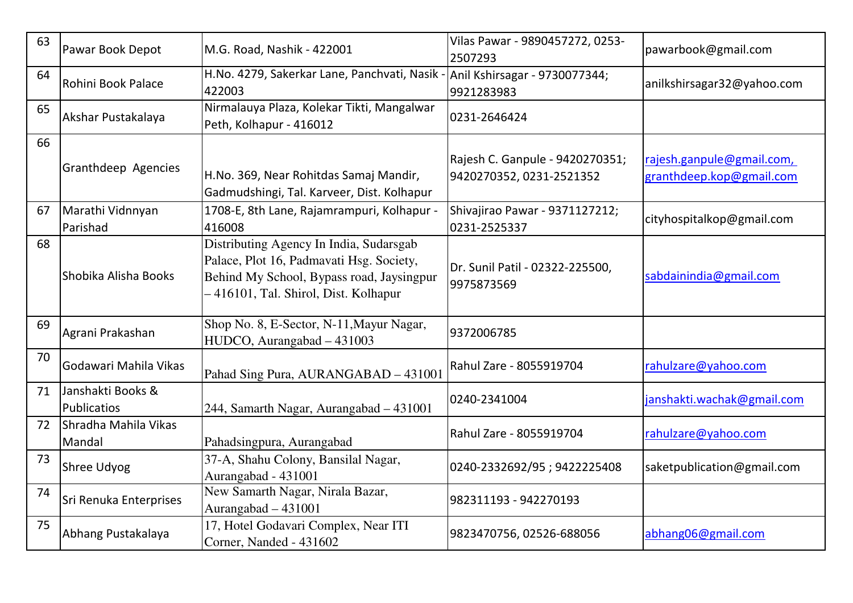| 63 | Pawar Book Depot                 | M.G. Road, Nashik - 422001                                                                                                                                              | Vilas Pawar - 9890457272, 0253-<br>2507293                  | pawarbook@gmail.com                                   |
|----|----------------------------------|-------------------------------------------------------------------------------------------------------------------------------------------------------------------------|-------------------------------------------------------------|-------------------------------------------------------|
| 64 | Rohini Book Palace               | H.No. 4279, Sakerkar Lane, Panchvati, Nasik -<br>422003                                                                                                                 | Anil Kshirsagar - 9730077344;<br>9921283983                 | anilkshirsagar32@yahoo.com                            |
| 65 | Akshar Pustakalaya               | Nirmalauya Plaza, Kolekar Tikti, Mangalwar<br>Peth, Kolhapur - 416012                                                                                                   | 0231-2646424                                                |                                                       |
| 66 | Granthdeep Agencies              | H.No. 369, Near Rohitdas Samaj Mandir,<br>Gadmudshingi, Tal. Karveer, Dist. Kolhapur                                                                                    | Rajesh C. Ganpule - 9420270351;<br>9420270352, 0231-2521352 | rajesh.ganpule@gmail.com,<br>granthdeep.kop@gmail.com |
| 67 | Marathi Vidnnyan<br>Parishad     | 1708-E, 8th Lane, Rajamrampuri, Kolhapur -<br>416008                                                                                                                    | Shivajirao Pawar - 9371127212;<br>0231-2525337              | cityhospitalkop@gmail.com                             |
| 68 | Shobika Alisha Books             | Distributing Agency In India, Sudarsgab<br>Palace, Plot 16, Padmavati Hsg. Society,<br>Behind My School, Bypass road, Jaysingpur<br>416101, Tal. Shirol, Dist. Kolhapur | Dr. Sunil Patil - 02322-225500,<br>9975873569               | sabdainindia@gmail.com                                |
| 69 | Agrani Prakashan                 | Shop No. 8, E-Sector, N-11, Mayur Nagar,<br>HUDCO, Aurangabad - 431003                                                                                                  | 9372006785                                                  |                                                       |
| 70 | Godawari Mahila Vikas            | Pahad Sing Pura, AURANGABAD - 431001                                                                                                                                    | Rahul Zare - 8055919704                                     | rahulzare@yahoo.com                                   |
| 71 | Janshakti Books &<br>Publicatios | 244, Samarth Nagar, Aurangabad - 431001                                                                                                                                 | 0240-2341004                                                | janshakti.wachak@gmail.com                            |
| 72 | Shradha Mahila Vikas<br>Mandal   | Pahadsingpura, Aurangabad                                                                                                                                               | Rahul Zare - 8055919704                                     | rahulzare@yahoo.com                                   |
| 73 | <b>Shree Udyog</b>               | 37-A, Shahu Colony, Bansilal Nagar,<br>Aurangabad - 431001                                                                                                              | 0240-2332692/95; 9422225408                                 | saketpublication@gmail.com                            |
| 74 | Sri Renuka Enterprises           | New Samarth Nagar, Nirala Bazar,<br>Aurangabad $-431001$                                                                                                                | 982311193 - 942270193                                       |                                                       |
| 75 | Abhang Pustakalaya               | 17, Hotel Godavari Complex, Near ITI<br>Corner, Nanded - 431602                                                                                                         | 9823470756, 02526-688056                                    | abhang06@gmail.com                                    |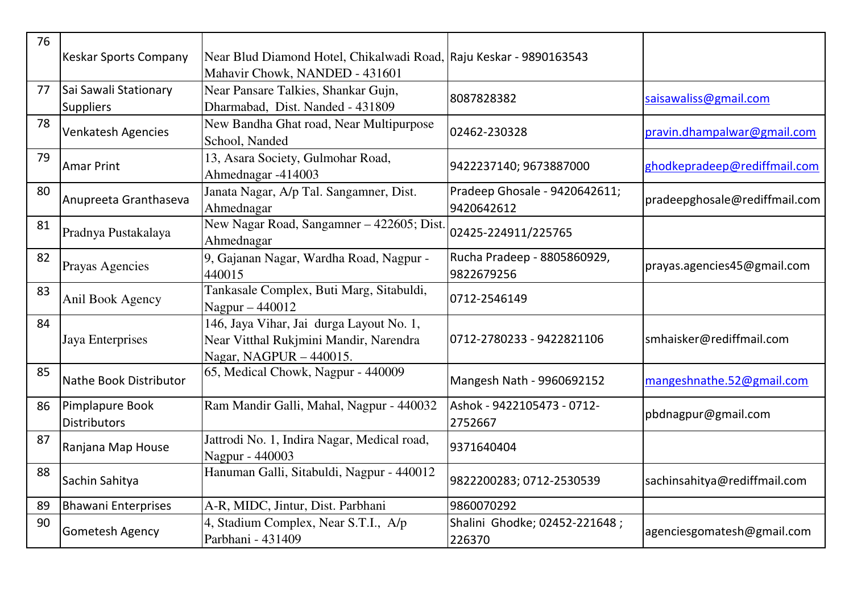| 76 | <b>Keskar Sports Company</b>              | Near Blud Diamond Hotel, Chikalwadi Road, Raju Keskar - 9890163543<br>Mahavir Chowk, NANDED - 431601          |                                             |                               |
|----|-------------------------------------------|---------------------------------------------------------------------------------------------------------------|---------------------------------------------|-------------------------------|
| 77 | Sai Sawali Stationary<br><b>Suppliers</b> | Near Pansare Talkies, Shankar Gujn,<br>Dharmabad, Dist. Nanded - 431809                                       | 8087828382                                  | saisawaliss@gmail.com         |
| 78 | Venkatesh Agencies                        | New Bandha Ghat road, Near Multipurpose<br>School, Nanded                                                     | 02462-230328                                | pravin.dhampalwar@gmail.com   |
| 79 | Amar Print                                | 13, Asara Society, Gulmohar Road,<br>Ahmednagar -414003                                                       | 9422237140; 9673887000                      | ghodkepradeep@rediffmail.com  |
| 80 | Anupreeta Granthaseva                     | Janata Nagar, A/p Tal. Sangamner, Dist.<br>Ahmednagar                                                         | Pradeep Ghosale - 9420642611;<br>9420642612 | pradeepghosale@rediffmail.com |
| 81 | Pradnya Pustakalaya                       | New Nagar Road, Sangamner - 422605; Dist.<br>Ahmednagar                                                       | 02425-224911/225765                         |                               |
| 82 | Prayas Agencies                           | 9, Gajanan Nagar, Wardha Road, Nagpur -<br>440015                                                             | Rucha Pradeep - 8805860929,<br>9822679256   | prayas.agencies45@gmail.com   |
| 83 | Anil Book Agency                          | Tankasale Complex, Buti Marg, Sitabuldi,<br>Nagpur - 440012                                                   | 0712-2546149                                |                               |
| 84 | Jaya Enterprises                          | 146, Jaya Vihar, Jai durga Layout No. 1,<br>Near Vitthal Rukjmini Mandir, Narendra<br>Nagar, NAGPUR - 440015. | 0712-2780233 - 9422821106                   | smhaisker@rediffmail.com      |
| 85 | Nathe Book Distributor                    | 65, Medical Chowk, Nagpur - 440009                                                                            | Mangesh Nath - 9960692152                   | mangeshnathe.52@gmail.com     |
| 86 | Pimplapure Book<br><b>Distributors</b>    | Ram Mandir Galli, Mahal, Nagpur - 440032                                                                      | Ashok - 9422105473 - 0712-<br>2752667       | pbdnagpur@gmail.com           |
| 87 | Ranjana Map House                         | Jattrodi No. 1, Indira Nagar, Medical road,<br>Nagpur - 440003                                                | 9371640404                                  |                               |
| 88 | Sachin Sahitya                            | Hanuman Galli, Sitabuldi, Nagpur - 440012                                                                     | 9822200283; 0712-2530539                    | sachinsahitya@rediffmail.com  |
| 89 | <b>Bhawani Enterprises</b>                | A-R, MIDC, Jintur, Dist. Parbhani                                                                             | 9860070292                                  |                               |
| 90 | <b>Gometesh Agency</b>                    | 4, Stadium Complex, Near S.T.I., A/p<br>Parbhani - 431409                                                     | Shalini Ghodke; 02452-221648;<br>226370     | agenciesgomatesh@gmail.com    |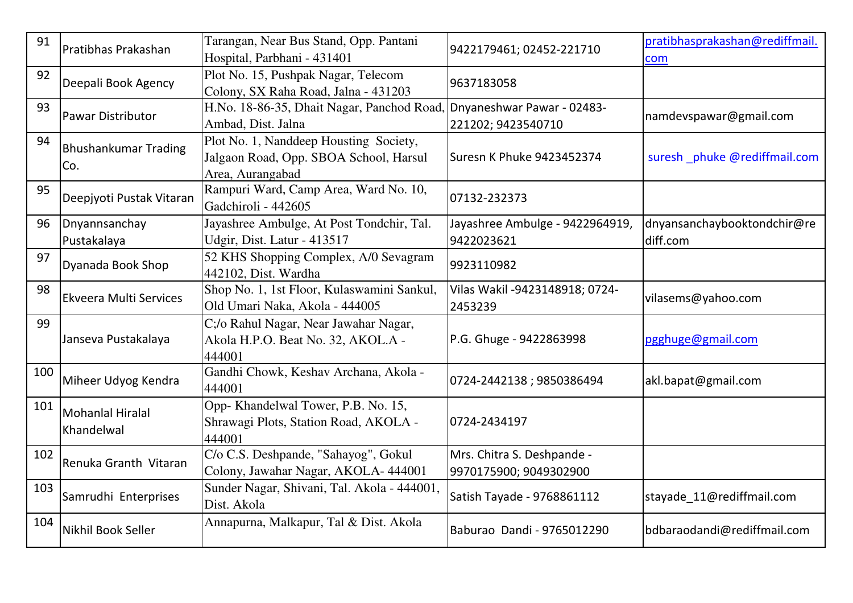| 91  | Pratibhas Prakashan                   | Tarangan, Near Bus Stand, Opp. Pantani<br>Hospital, Parbhani - 431401                                | 9422179461; 02452-221710                             | pratibhasprakashan@rediffmail.<br>com |
|-----|---------------------------------------|------------------------------------------------------------------------------------------------------|------------------------------------------------------|---------------------------------------|
| 92  | Deepali Book Agency                   | Plot No. 15, Pushpak Nagar, Telecom<br>Colony, SX Raha Road, Jalna - 431203                          | 9637183058                                           |                                       |
| 93  | <b>Pawar Distributor</b>              | H.No. 18-86-35, Dhait Nagar, Panchod Road, Dnyaneshwar Pawar - 02483-<br>Ambad, Dist. Jalna          | 221202; 9423540710                                   | namdevspawar@gmail.com                |
| 94  | <b>Bhushankumar Trading</b><br>Co.    | Plot No. 1, Nanddeep Housting Society,<br>Jalgaon Road, Opp. SBOA School, Harsul<br>Area, Aurangabad | Suresn K Phuke 9423452374                            | suresh phuke @rediffmail.com          |
| 95  | Deepjyoti Pustak Vitaran              | Rampuri Ward, Camp Area, Ward No. 10,<br>Gadchiroli - 442605                                         | 07132-232373                                         |                                       |
| 96  | Dnyannsanchay                         | Jayashree Ambulge, At Post Tondchir, Tal.                                                            | Jayashree Ambulge - 9422964919,                      | dnyansanchaybooktondchir@re           |
|     | Pustakalaya                           | Udgir, Dist. Latur - 413517                                                                          | 9422023621                                           | diff.com                              |
| 97  | Dyanada Book Shop                     | 52 KHS Shopping Complex, A/0 Sevagram<br>442102, Dist. Wardha                                        | 9923110982                                           |                                       |
| 98  | <b>Ekveera Multi Services</b>         | Shop No. 1, 1st Floor, Kulaswamini Sankul,<br>Old Umari Naka, Akola - 444005                         | Vilas Wakil -9423148918; 0724-<br>2453239            | vilasems@yahoo.com                    |
| 99  | Janseva Pustakalaya                   | C;/o Rahul Nagar, Near Jawahar Nagar,<br>Akola H.P.O. Beat No. 32, AKOL.A -<br>444001                | P.G. Ghuge - 9422863998                              | pgghuge@gmail.com                     |
| 100 | Miheer Udyog Kendra                   | Gandhi Chowk, Keshav Archana, Akola -<br>444001                                                      | 0724-2442138; 9850386494                             | akl.bapat@gmail.com                   |
| 101 | <b>Mohanlal Hiralal</b><br>Khandelwal | Opp- Khandelwal Tower, P.B. No. 15,<br>Shrawagi Plots, Station Road, AKOLA -<br>444001               | 0724-2434197                                         |                                       |
| 102 | Renuka Granth Vitaran                 | C/o C.S. Deshpande, "Sahayog", Gokul<br>Colony, Jawahar Nagar, AKOLA- 444001                         | Mrs. Chitra S. Deshpande -<br>9970175900; 9049302900 |                                       |
| 103 | Samrudhi Enterprises                  | Sunder Nagar, Shivani, Tal. Akola - 444001,<br>Dist. Akola                                           | Satish Tayade - 9768861112                           | stayade_11@rediffmail.com             |
| 104 | Nikhil Book Seller                    | Annapurna, Malkapur, Tal & Dist. Akola                                                               | Baburao Dandi - 9765012290                           | bdbaraodandi@rediffmail.com           |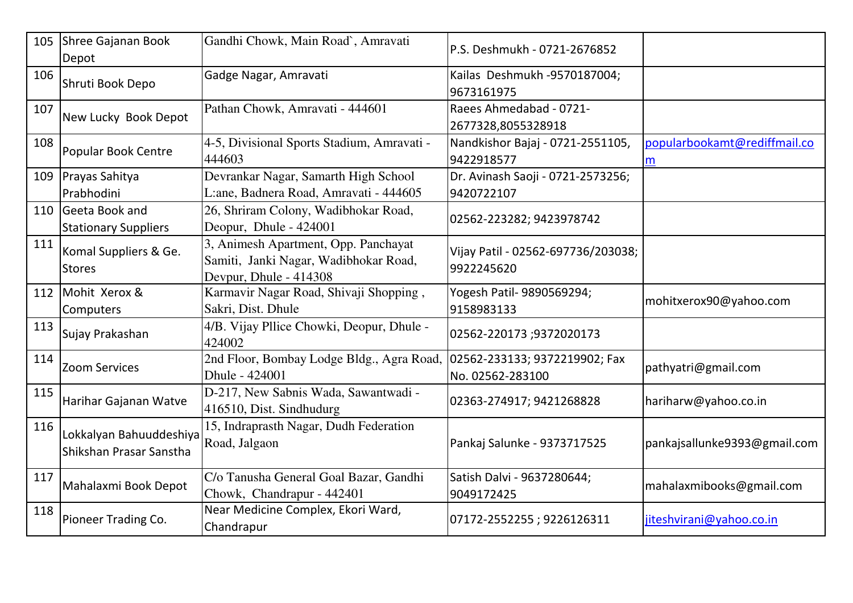| 105 | Shree Gajanan Book<br>Depot                        | Gandhi Chowk, Main Road`, Amravati                                                                      | P.S. Deshmukh - 0721-2676852                      |                                   |
|-----|----------------------------------------------------|---------------------------------------------------------------------------------------------------------|---------------------------------------------------|-----------------------------------|
| 106 | Shruti Book Depo                                   | Gadge Nagar, Amravati                                                                                   | Kailas Deshmukh -9570187004;<br>9673161975        |                                   |
| 107 | New Lucky Book Depot                               | Pathan Chowk, Amravati - 444601                                                                         | Raees Ahmedabad - 0721-<br>2677328,8055328918     |                                   |
| 108 | <b>Popular Book Centre</b>                         | 4-5, Divisional Sports Stadium, Amravati -<br>444603                                                    | Nandkishor Bajaj - 0721-2551105,<br>9422918577    | popularbookamt@rediffmail.co<br>m |
|     | 109 Prayas Sahitya<br>Prabhodini                   | Devrankar Nagar, Samarth High School<br>L:ane, Badnera Road, Amravati - 444605                          | Dr. Avinash Saoji - 0721-2573256;<br>9420722107   |                                   |
|     | 110 Geeta Book and<br><b>Stationary Suppliers</b>  | 26, Shriram Colony, Wadibhokar Road,<br>Deopur, Dhule - 424001                                          | 02562-223282; 9423978742                          |                                   |
| 111 | Komal Suppliers & Ge.<br><b>Stores</b>             | 3, Animesh Apartment, Opp. Panchayat<br>Samiti, Janki Nagar, Wadibhokar Road,<br>Devpur, Dhule - 414308 | Vijay Patil - 02562-697736/203038;<br>9922245620  |                                   |
|     | 112   Mohit Xerox &<br>Computers                   | Karmavir Nagar Road, Shivaji Shopping,<br>Sakri, Dist. Dhule                                            | Yogesh Patil- 9890569294;<br>9158983133           | mohitxerox90@yahoo.com            |
| 113 | Sujay Prakashan                                    | 4/B. Vijay Pllice Chowki, Deopur, Dhule -<br>424002                                                     | 02562-220173 ;9372020173                          |                                   |
| 114 | <b>Zoom Services</b>                               | 2nd Floor, Bombay Lodge Bldg., Agra Road,<br>Dhule - 424001                                             | 02562-233133; 9372219902; Fax<br>No. 02562-283100 | pathyatri@gmail.com               |
| 115 | Harihar Gajanan Watve                              | D-217, New Sabnis Wada, Sawantwadi -<br>416510, Dist. Sindhudurg                                        | 02363-274917; 9421268828                          | hariharw@yahoo.co.in              |
| 116 | Lokkalyan Bahuuddeshiya<br>Shikshan Prasar Sanstha | 15, Indraprasth Nagar, Dudh Federation<br>Road, Jalgaon                                                 | Pankaj Salunke - 9373717525                       | pankajsallunke9393@gmail.com      |
| 117 | Mahalaxmi Book Depot                               | C/o Tanusha General Goal Bazar, Gandhi<br>Chowk, Chandrapur - 442401                                    | Satish Dalvi - 9637280644;<br>9049172425          | mahalaxmibooks@gmail.com          |
| 118 | Pioneer Trading Co.                                | Near Medicine Complex, Ekori Ward,<br>Chandrapur                                                        | 07172-2552255 ; 9226126311                        | jiteshvirani@yahoo.co.in          |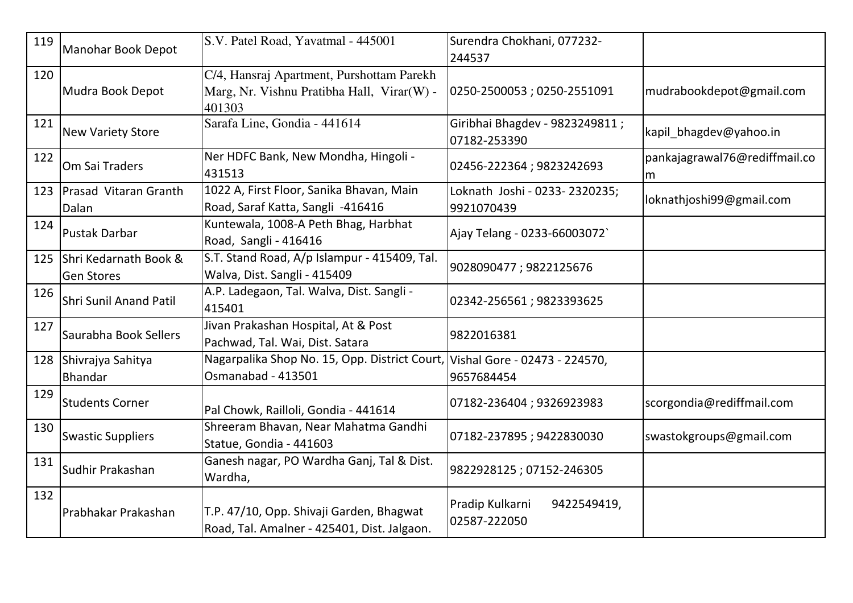| 119 | Manohar Book Depot                             | S.V. Patel Road, Yavatmal - 445001                                                                | Surendra Chokhani, 077232-<br>244537           |                                    |
|-----|------------------------------------------------|---------------------------------------------------------------------------------------------------|------------------------------------------------|------------------------------------|
| 120 | Mudra Book Depot                               | C/4, Hansraj Apartment, Purshottam Parekh<br>Marg, Nr. Vishnu Pratibha Hall, Virar(W) -<br>401303 | 0250-2500053;0250-2551091                      | mudrabookdepot@gmail.com           |
| 121 | <b>New Variety Store</b>                       | Sarafa Line, Gondia - 441614                                                                      | Giribhai Bhagdev - 9823249811;<br>07182-253390 | kapil bhagdev@yahoo.in             |
| 122 | Om Sai Traders                                 | Ner HDFC Bank, New Mondha, Hingoli -<br>431513                                                    | 02456-222364; 9823242693                       | pankajagrawal76@rediffmail.co<br>m |
|     | 123   Prasad Vitaran Granth<br>Dalan           | 1022 A, First Floor, Sanika Bhavan, Main<br>Road, Saraf Katta, Sangli -416416                     | Loknath Joshi - 0233- 2320235;<br>9921070439   | loknathjoshi99@gmail.com           |
| 124 | <b>Pustak Darbar</b>                           | Kuntewala, 1008-A Peth Bhag, Harbhat<br>Road, Sangli - 416416                                     | Ajay Telang - 0233-66003072                    |                                    |
|     | 125 Shri Kedarnath Book &<br><b>Gen Stores</b> | S.T. Stand Road, A/p Islampur - 415409, Tal.<br>Walva, Dist. Sangli - 415409                      | 9028090477; 9822125676                         |                                    |
| 126 | <b>Shri Sunil Anand Patil</b>                  | A.P. Ladegaon, Tal. Walva, Dist. Sangli -<br>415401                                               | 02342-256561; 9823393625                       |                                    |
| 127 | Saurabha Book Sellers                          | Jivan Prakashan Hospital, At & Post<br>Pachwad, Tal. Wai, Dist. Satara                            | 9822016381                                     |                                    |
|     | 128 Shivrajya Sahitya<br><b>Bhandar</b>        | Nagarpalika Shop No. 15, Opp. District Court, Vishal Gore - 02473 - 224570,<br>Osmanabad - 413501 | 9657684454                                     |                                    |
| 129 | <b>Students Corner</b>                         | Pal Chowk, Railloli, Gondia - 441614                                                              | 07182-236404; 9326923983                       | scorgondia@rediffmail.com          |
| 130 | <b>Swastic Suppliers</b>                       | Shreeram Bhavan, Near Mahatma Gandhi<br>Statue, Gondia - 441603                                   | 07182-237895; 9422830030                       | swastokgroups@gmail.com            |
| 131 | Sudhir Prakashan                               | Ganesh nagar, PO Wardha Ganj, Tal & Dist.<br>Wardha,                                              | 9822928125; 07152-246305                       |                                    |
| 132 | Prabhakar Prakashan                            | T.P. 47/10, Opp. Shivaji Garden, Bhagwat<br>Road, Tal. Amalner - 425401, Dist. Jalgaon.           | Pradip Kulkarni<br>9422549419,<br>02587-222050 |                                    |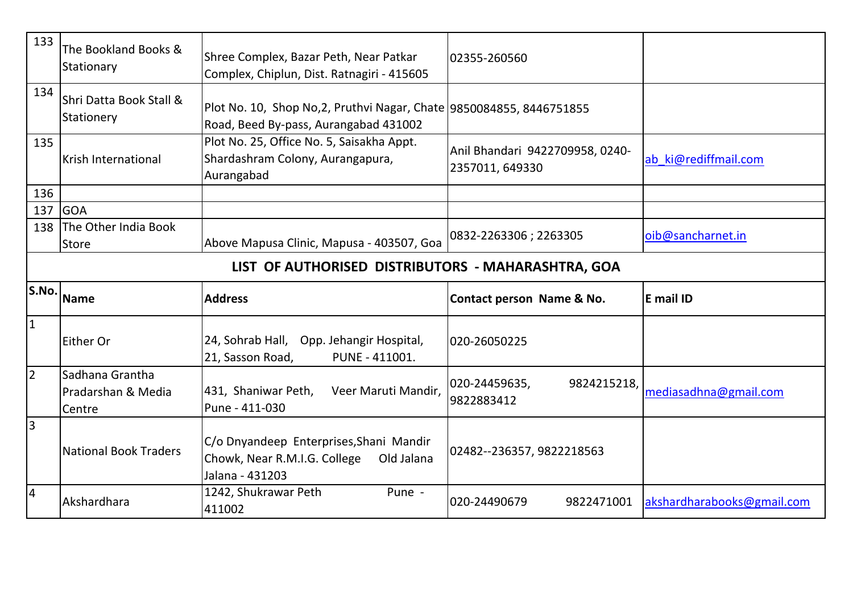| 133                                                | The Bookland Books &<br>Stationary              | Shree Complex, Bazar Peth, Near Patkar<br>Complex, Chiplun, Dist. Ratnagiri - 415605                          | 02355-260560                                       |                       |  |  |  |  |  |
|----------------------------------------------------|-------------------------------------------------|---------------------------------------------------------------------------------------------------------------|----------------------------------------------------|-----------------------|--|--|--|--|--|
| 134                                                | Shri Datta Book Stall &<br>Stationery           | Plot No. 10, Shop No, 2, Pruthvi Nagar, Chate 9850084855, 8446751855<br>Road, Beed By-pass, Aurangabad 431002 |                                                    |                       |  |  |  |  |  |
| 135                                                | <b>Krish International</b>                      | Plot No. 25, Office No. 5, Saisakha Appt.<br>Shardashram Colony, Aurangapura,<br>Aurangabad                   | Anil Bhandari 9422709958, 0240-<br>2357011, 649330 | ab ki@rediffmail.com  |  |  |  |  |  |
| 136                                                |                                                 |                                                                                                               |                                                    |                       |  |  |  |  |  |
| 137                                                | <b>GOA</b>                                      |                                                                                                               |                                                    |                       |  |  |  |  |  |
| 138                                                | The Other India Book<br><b>Store</b>            | Above Mapusa Clinic, Mapusa - 403507, Goa                                                                     | 0832-2263306; 2263305                              | oib@sancharnet.in     |  |  |  |  |  |
| LIST OF AUTHORISED DISTRIBUTORS - MAHARASHTRA, GOA |                                                 |                                                                                                               |                                                    |                       |  |  |  |  |  |
|                                                    |                                                 |                                                                                                               |                                                    |                       |  |  |  |  |  |
| S.No.                                              | <b>Name</b>                                     | <b>Address</b>                                                                                                | Contact person Name & No.                          | E mail ID             |  |  |  |  |  |
| $\overline{1}$                                     | Either Or                                       | 24, Sohrab Hall, Opp. Jehangir Hospital,<br>21, Sasson Road,<br>PUNE - 411001.                                | 020-26050225                                       |                       |  |  |  |  |  |
| $\overline{2}$                                     | Sadhana Grantha<br>Pradarshan & Media<br>Centre | Veer Maruti Mandir,<br>431, Shaniwar Peth,<br>Pune - 411-030                                                  | 020-24459635,<br>9824215218,<br>9822883412         | mediasadhna@gmail.com |  |  |  |  |  |
| 3                                                  | <b>National Book Traders</b>                    | C/o Dnyandeep Enterprises, Shani Mandir<br>Chowk, Near R.M.I.G. College<br>Old Jalana<br>Jalana - 431203      | 02482--236357, 9822218563                          |                       |  |  |  |  |  |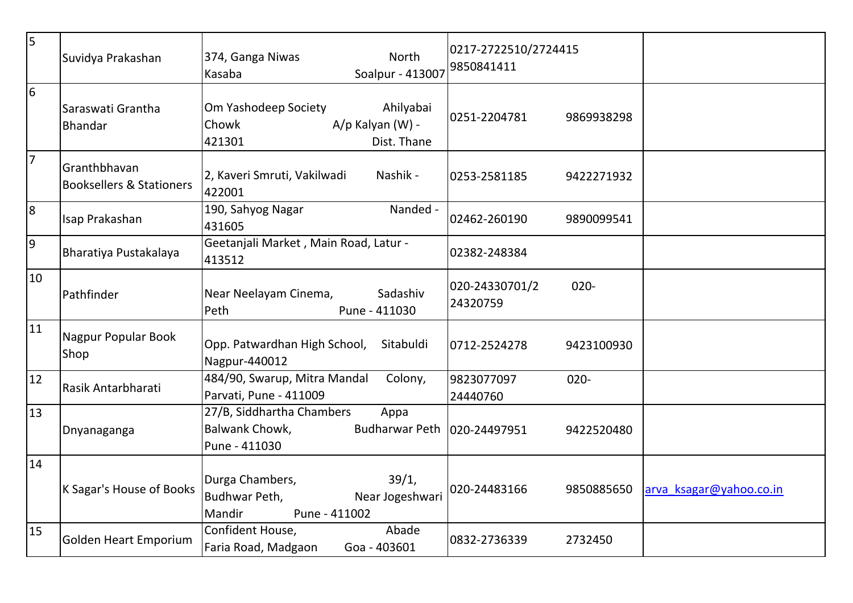| 5              | Suvidya Prakashan                                   | North<br>374, Ganga Niwas<br>Soalpur - 413007<br>Kasaba                                               | 0217-2722510/2724415<br>9850841411    |                         |
|----------------|-----------------------------------------------------|-------------------------------------------------------------------------------------------------------|---------------------------------------|-------------------------|
| 6              | Saraswati Grantha<br>Bhandar                        | Om Yashodeep Society<br>Ahilyabai<br>A/p Kalyan (W) -<br>Chowk<br>421301<br>Dist. Thane               | 0251-2204781<br>9869938298            |                         |
| $\overline{7}$ | Granthbhavan<br><b>Booksellers &amp; Stationers</b> | 2, Kaveri Smruti, Vakilwadi<br>Nashik -<br>422001                                                     | 0253-2581185<br>9422271932            |                         |
| 8              | Isap Prakashan                                      | 190, Sahyog Nagar<br>Nanded -<br>431605                                                               | 02462-260190<br>9890099541            |                         |
| $\overline{9}$ | Bharatiya Pustakalaya                               | Geetanjali Market, Main Road, Latur -<br>413512                                                       | 02382-248384                          |                         |
| 10             | Pathfinder                                          | Sadashiv<br>Near Neelayam Cinema,<br>Peth<br>Pune - 411030                                            | 020-24330701/2<br>$020 -$<br>24320759 |                         |
| 11             | Nagpur Popular Book<br>Shop                         | Opp. Patwardhan High School,<br>Sitabuldi<br>Nagpur-440012                                            | 0712-2524278<br>9423100930            |                         |
| 12             | Rasik Antarbharati                                  | 484/90, Swarup, Mitra Mandal<br>Colony,<br>Parvati, Pune - 411009                                     | 9823077097<br>$020 -$<br>24440760     |                         |
| 13             | Dnyanaganga                                         | 27/B, Siddhartha Chambers<br>Appa<br>Balwank Chowk,<br>Budharwar Peth   020-24497951<br>Pune - 411030 | 9422520480                            |                         |
| 14             | K Sagar's House of Books                            | Durga Chambers,<br>39/1,<br>Budhwar Peth,<br>Near Jogeshwari<br>Mandir<br>Pune - 411002               | 020-24483166<br>9850885650            | arva ksagar@yahoo.co.in |
| 15             | Golden Heart Emporium                               | Abade<br>Confident House,<br>Faria Road, Madgaon<br>Goa - 403601                                      | 0832-2736339<br>2732450               |                         |